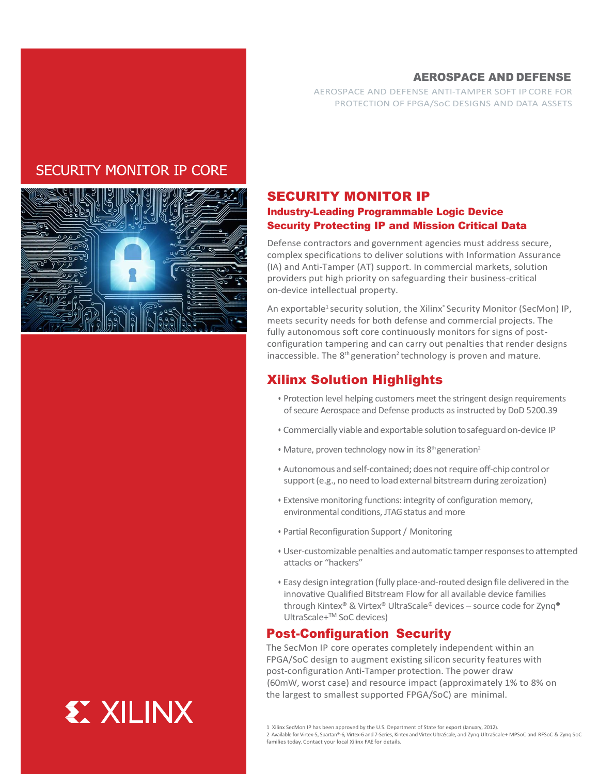## AEROSPACE AND DEFENSE

AEROSPACE AND DEFENSE ANTI-TAMPER SOFT IP CORE FOR PROTECTION OF FPGA/SoC DESIGNS AND DATA ASSETS

# **SECURITY MONITOR IP CORE**



the largest to smallest supported FPGA/SoC) are minimal.

## SECURITY MONITOR IP Industry-Leading Programmable Logic Device Security Protecting IP and Mission Critical Data

Defense contractors and government agencies must address secure, complex specifications to deliver solutions with Information Assurance (IA) and Anti-Tamper (AT) support. In commercial markets, solution providers put high priority on safeguarding their business-critical on-device intellectual property.

An exportable<sup>1</sup> security solution, the Xilinx<sup>®</sup> Security Monitor (SecMon) IP, meets security needs for both defense and commercial projects. The fully autonomous soft core continuously monitors for signs of postconfiguration tampering and can carry out penalties that render designs inaccessible. The  $8<sup>th</sup>$  generation<sup>2</sup> technology is proven and mature.

# Xilinx Solution Highlights

- Protection level helping customers meet the stringent design requirements of secure Aerospace and Defense products as instructed by DoD 5200.39
- Commercially viable and exportable solution to safeguard on-device IP
- Mature, proven technology now in its  $8<sup>th</sup>$  generation<sup>2</sup>
- Autonomous and self-contained; does not require off-chip control or support (e.g., no need to load external bitstream during zeroization)
- Extensive monitoring functions: integrity of configuration memory, environmental conditions, JTAG status and more
- Partial Reconfiguration Support / Monitoring
- User-customizable penalties and automatic tamper responses to attempted attacks or "hackers"
- Easy design integration (fully place-and-routed design file delivered in the innovative Qualified Bitstream Flow for all available device families through Kintex® & Virtex® UltraScale® devices – source code for Zynq® UltraScale+TM SoC devices)

## Post-Configuration Security

 The SecMon IP core operates completely independent within an FPGA/SoC design to augment existing silicon security features with post-configuration Anti-Tamper protection. The power draw (60mW, worst case) and resource impact (approximately 1% to 8% on

<sup>1</sup> Xilinx SecMon IP has been approved by the U.S. Department of State for export (January, 2012).

<sup>2</sup> Available for Virtex-5, Spartan®-6, Virtex-6 and 7-Series, Kintex and Virtex UltraScale, and Zynq UltraScale+ MPSoC and RFSoC & Zynq SoC families today. Contact your local Xilinx FAE for details.